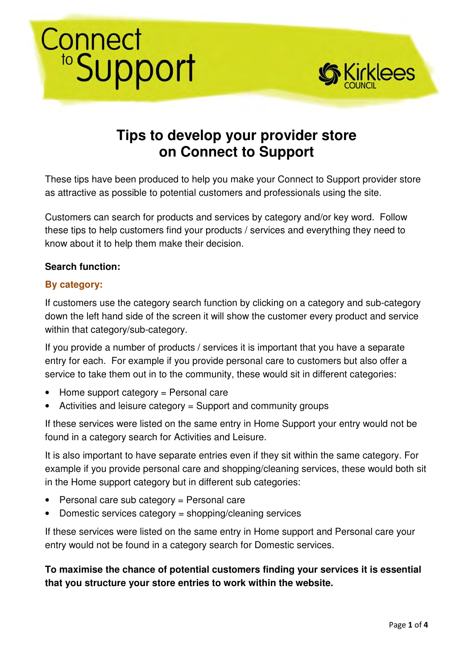# Connect<br>
"Support



# **Tips to develop your provider store on Connect to Support**

These tips have been produced to help you make your Connect to Support provider store as attractive as possible to potential customers and professionals using the site.

Customers can search for products and services by category and/or key word. Follow these tips to help customers find your products / services and everything they need to know about it to help them make their decision.

#### **Search function:**

#### **By category:**

If customers use the category search function by clicking on a category and sub-category down the left hand side of the screen it will show the customer every product and service within that category/sub-category.

If you provide a number of products / services it is important that you have a separate entry for each. For example if you provide personal care to customers but also offer a service to take them out in to the community, these would sit in different categories:

- Home support category = Personal care
- Activities and leisure category = Support and community groups

If these services were listed on the same entry in Home Support your entry would not be found in a category search for Activities and Leisure.

It is also important to have separate entries even if they sit within the same category. For example if you provide personal care and shopping/cleaning services, these would both sit in the Home support category but in different sub categories:

- Personal care sub category = Personal care
- Domestic services category = shopping/cleaning services

If these services were listed on the same entry in Home support and Personal care your entry would not be found in a category search for Domestic services.

**To maximise the chance of potential customers finding your services it is essential that you structure your store entries to work within the website.**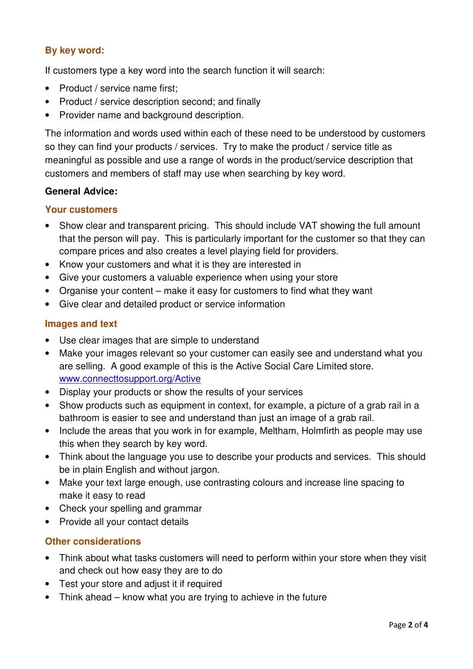## **By key word:**

If customers type a key word into the search function it will search:

- Product / service name first;
- Product / service description second; and finally
- Provider name and background description.

The information and words used within each of these need to be understood by customers so they can find your products / services. Try to make the product / service title as meaningful as possible and use a range of words in the product/service description that customers and members of staff may use when searching by key word.

#### **General Advice:**

#### **Your customers**

- Show clear and transparent pricing. This should include VAT showing the full amount that the person will pay. This is particularly important for the customer so that they can compare prices and also creates a level playing field for providers.
- Know your customers and what it is they are interested in
- Give your customers a valuable experience when using your store
- Organise your content make it easy for customers to find what they want
- Give clear and detailed product or service information

#### **Images and text**

- Use clear images that are simple to understand
- Make your images relevant so your customer can easily see and understand what you are selling. A good example of this is the Active Social Care Limited store. www.connecttosupport.org/Active
- Display your products or show the results of your services
- Show products such as equipment in context, for example, a picture of a grab rail in a bathroom is easier to see and understand than just an image of a grab rail.
- Include the areas that you work in for example, Meltham, Holmfirth as people may use this when they search by key word.
- Think about the language you use to describe your products and services. This should be in plain English and without jargon.
- Make your text large enough, use contrasting colours and increase line spacing to make it easy to read
- Check your spelling and grammar
- Provide all your contact details

#### **Other considerations**

- Think about what tasks customers will need to perform within your store when they visit and check out how easy they are to do
- Test your store and adjust it if required
- Think ahead know what you are trying to achieve in the future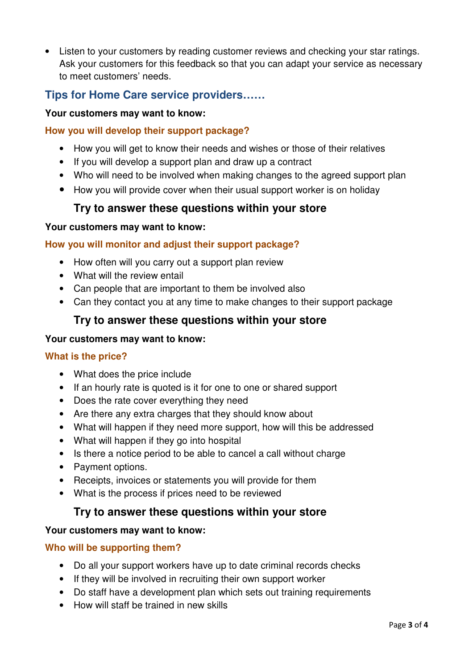• Listen to your customers by reading customer reviews and checking your star ratings. Ask your customers for this feedback so that you can adapt your service as necessary to meet customers' needs.

## **Tips for Home Care service providers……**

#### **Your customers may want to know:**

#### **How you will develop their support package?**

- How you will get to know their needs and wishes or those of their relatives
- If you will develop a support plan and draw up a contract
- Who will need to be involved when making changes to the agreed support plan
- How you will provide cover when their usual support worker is on holiday

## **Try to answer these questions within your store**

#### **Your customers may want to know:**

#### **How you will monitor and adjust their support package?**

- How often will you carry out a support plan review
- What will the review entail
- Can people that are important to them be involved also
- Can they contact you at any time to make changes to their support package

## **Try to answer these questions within your store**

#### **Your customers may want to know:**

#### **What is the price?**

- What does the price include
- If an hourly rate is quoted is it for one to one or shared support
- Does the rate cover everything they need
- Are there any extra charges that they should know about
- What will happen if they need more support, how will this be addressed
- What will happen if they go into hospital
- Is there a notice period to be able to cancel a call without charge
- Payment options.
- Receipts, invoices or statements you will provide for them
- What is the process if prices need to be reviewed

## **Try to answer these questions within your store**

#### **Your customers may want to know:**

#### **Who will be supporting them?**

- Do all your support workers have up to date criminal records checks
- If they will be involved in recruiting their own support worker
- Do staff have a development plan which sets out training requirements
- How will staff be trained in new skills